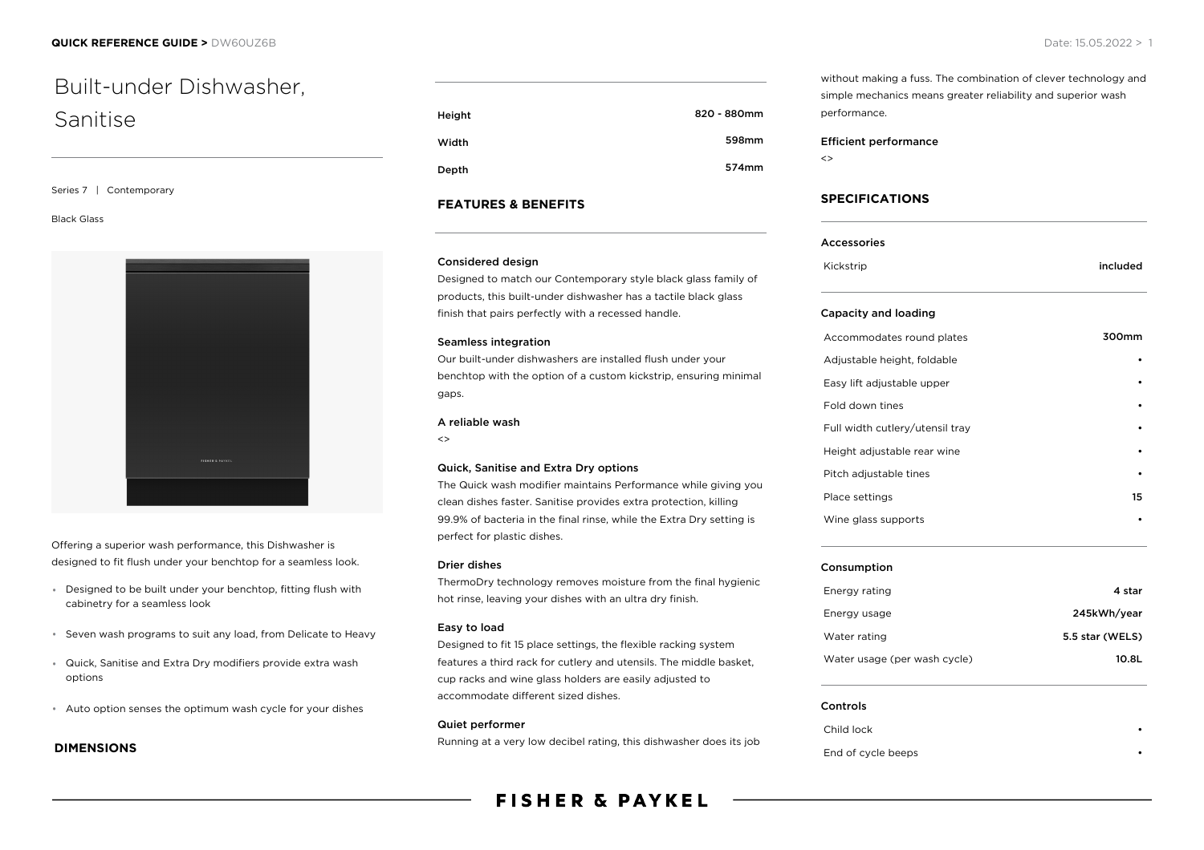# Built-under Dishwasher, Sanitise

Series 7 | Contemporary

### Black Glass



Offering a superior wash performance, this Dishwasher is designed to fit flush under your benchtop for a seamless look.

- Designed to be built under your benchtop, fitting flush with cabinetry for a seamless look
- Seven wash programs to suit any load, from Delicate to Heavy
- Quick, Sanitise and Extra Dry modifiers provide extra wash options
- Auto option senses the optimum wash cycle for your dishes

### **DIMENSIONS**

| Height | 820 - 880mm |
|--------|-------------|
| Width  | 598mm       |
| Depth  | 574mm       |

### **FEATURES & BENEFITS**

### Considered design

Designed to match our Contemporary style black glass family of products, this built-under dishwasher has a tactile black glass finish that pairs perfectly with a recessed handle.

### Seamless integration

Our built-under dishwashers are installed flush under your benchtop with the option of a custom kickstrip, ensuring minimal gaps.

### A reliable wash

 $\leftrightarrow$ 

### Quick, Sanitise and Extra Dry options

The Quick wash modifier maintains Performance while giving you clean dishes faster. Sanitise provides extra protection, killing 99.9% of bacteria in the final rinse, while the Extra Dry setting is perfect for plastic dishes.

### Drier dishes

ThermoDry technology removes moisture from the final hygienic hot rinse, leaving your dishes with an ultra dry finish.

### Easy to load

Designed to fit 15 place settings, the flexible racking system features a third rack for cutlery and utensils. The middle basket, cup racks and wine glass holders are easily adjusted to accommodate different sized dishes.

### Quiet performer

Running at a very low decibel rating, this dishwasher does its job

## **FISHER & PAYKEL**

without making a fuss. The combination of clever technology and simple mechanics means greater reliability and superior wash performance.

### Efficient performance

 $\leftrightarrow$ 

### **SPECIFICATIONS**

| Accessories |          |
|-------------|----------|
| Kickstrip   | included |

### Capacity and loading

| Accommodates round plates       | 300mm |
|---------------------------------|-------|
| Adjustable height, foldable     |       |
| Easy lift adjustable upper      |       |
| Fold down tines                 |       |
| Full width cutlery/utensil tray |       |
| Height adjustable rear wine     |       |
| Pitch adjustable tines          |       |
| Place settings                  | 15    |
| Wine glass supports             |       |
|                                 |       |

### Consumption

| Energy rating                | 4 star          |
|------------------------------|-----------------|
| Energy usage                 | 245kWh/year     |
| Water rating                 | 5.5 star (WELS) |
| Water usage (per wash cycle) | 10.8L           |

#### Controls

Child lock •

End of cycle beeps •